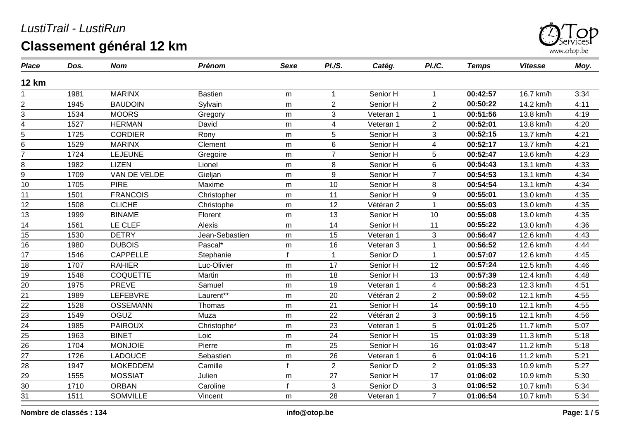

| <b>Place</b>    | Dos. | <b>Nom</b>      | <b>Prénom</b>  | <b>Sexe</b>  | PI.S.          | Catég.    | PI./C.                  | <b>Temps</b> | <b>Vitesse</b> | Moy. |
|-----------------|------|-----------------|----------------|--------------|----------------|-----------|-------------------------|--------------|----------------|------|
| <b>12 km</b>    |      |                 |                |              |                |           |                         |              |                |      |
|                 | 1981 | <b>MARINX</b>   | <b>Bastien</b> | m            | $\mathbf 1$    | Senior H  | 1                       | 00:42:57     | 16.7 km/h      | 3:34 |
| $\overline{c}$  | 1945 | <b>BAUDOIN</b>  | Sylvain        | m            | 2              | Senior H  | $\overline{2}$          | 00:50:22     | 14.2 km/h      | 4:11 |
| 3               | 1534 | <b>MOORS</b>    | Gregory        | m            | 3              | Veteran 1 | 1                       | 00:51:56     | 13.8 km/h      | 4:19 |
| 4               | 1527 | <b>HERMAN</b>   | David          | m            | 4              | Veteran 1 | $\overline{2}$          | 00:52:01     | 13.8 km/h      | 4:20 |
| 5               | 1725 | <b>CORDIER</b>  | Rony           | m            | 5              | Senior H  | 3                       | 00:52:15     | 13.7 km/h      | 4:21 |
| 6               | 1529 | <b>MARINX</b>   | Clement        | m            | 6              | Senior H  | $\overline{\mathbf{4}}$ | 00:52:17     | 13.7 km/h      | 4:21 |
| $\overline{7}$  | 1724 | <b>LEJEUNE</b>  | Gregoire       | m            | $\overline{7}$ | Senior H  | 5                       | 00:52:47     | 13.6 km/h      | 4:23 |
| 8               | 1982 | <b>LIZEN</b>    | Lionel         | m            | 8              | Senior H  | 6                       | 00:54:43     | 13.1 km/h      | 4:33 |
| $\overline{9}$  | 1709 | VAN DE VELDE    | Gieljan        | m            | 9              | Senior H  | $\overline{7}$          | 00:54:53     | 13.1 km/h      | 4:34 |
| 10              | 1705 | <b>PIRE</b>     | Maxime         | m            | 10             | Senior H  | 8                       | 00:54:54     | 13.1 km/h      | 4:34 |
| 11              | 1501 | <b>FRANCOIS</b> | Christopher    | m            | 11             | Senior H  | 9                       | 00:55:01     | 13.0 km/h      | 4:35 |
| 12              | 1508 | <b>CLICHE</b>   | Christophe     | m            | 12             | Vétéran 2 | 1                       | 00:55:03     | 13.0 km/h      | 4:35 |
| 13              | 1999 | <b>BINAME</b>   | Florent        | m            | 13             | Senior H  | 10                      | 00:55:08     | 13.0 km/h      | 4:35 |
| 14              | 1561 | LE CLEF         | Alexis         | m            | 14             | Senior H  | 11                      | 00:55:22     | 13.0 km/h      | 4:36 |
| 15              | 1530 | <b>DETRY</b>    | Jean-Sebastien | m            | 15             | Veteran 1 | 3                       | 00:56:47     | 12.6 km/h      | 4:43 |
| 16              | 1980 | <b>DUBOIS</b>   | Pascal*        | m            | 16             | Veteran 3 | $\mathbf{1}$            | 00:56:52     | 12.6 km/h      | 4:44 |
| 17              | 1546 | <b>CAPPELLE</b> | Stephanie      | f            | $\overline{1}$ | Senior D  | $\mathbf{1}$            | 00:57:07     | 12.6 km/h      | 4:45 |
| 18              | 1707 | <b>RAHIER</b>   | Luc-Olivier    | m            | 17             | Senior H  | 12                      | 00:57:24     | 12.5 km/h      | 4:46 |
| 19              | 1548 | <b>COQUETTE</b> | Martin         | m            | 18             | Senior H  | 13                      | 00:57:39     | 12.4 km/h      | 4:48 |
| 20              | 1975 | <b>PREVE</b>    | Samuel         | m            | 19             | Veteran 1 | $\overline{4}$          | 00:58:23     | 12.3 km/h      | 4:51 |
| $\overline{21}$ | 1989 | LEFEBVRE        | Laurent**      | m            | 20             | Vétéran 2 | $\overline{2}$          | 00:59:02     | 12.1 km/h      | 4:55 |
|                 | 1528 | <b>OSSEMANN</b> | Thomas         | m            | 21             | Senior H  | 14                      | 00:59:10     | 12.1 km/h      | 4:55 |
| $\frac{22}{23}$ | 1549 | <b>OGUZ</b>     | Muza           | m            | 22             | Vétéran 2 | 3                       | 00:59:15     | 12.1 km/h      | 4:56 |
| 24              | 1985 | <b>PAIROUX</b>  | Christophe*    | m            | 23             | Veteran 1 | 5                       | 01:01:25     | 11.7 km/h      | 5:07 |
| $\frac{25}{1}$  | 1963 | <b>BINET</b>    | Loic           | m            | 24             | Senior H  | 15                      | 01:03:39     | 11.3 km/h      | 5:18 |
| 26              | 1704 | <b>MONJOIE</b>  | Pierre         | m            | 25             | Senior H  | 16                      | 01:03:47     | 11.2 km/h      | 5:18 |
| 27              | 1726 | <b>LADOUCE</b>  | Sebastien      | m            | 26             | Veteran 1 | 6                       | 01:04:16     | 11.2 km/h      | 5:21 |
| $\overline{28}$ | 1947 | <b>MOKEDDEM</b> | Camille        |              | $\overline{2}$ | Senior D  | $\overline{2}$          | 01:05:33     | 10.9 km/h      | 5:27 |
| $\overline{29}$ | 1555 | <b>MOSSIAT</b>  | Julien         | m            | 27             | Senior H  | 17                      | 01:06:02     | 10.9 km/h      | 5:30 |
| $\overline{30}$ | 1710 | <b>ORBAN</b>    | Caroline       | $\mathbf{f}$ | 3              | Senior D  | 3                       | 01:06:52     | 10.7 km/h      | 5:34 |
| 31              | 1511 | <b>SOMVILLE</b> | Vincent        | m            | 28             | Veteran 1 | $\overline{7}$          | 01:06:54     | 10.7 km/h      | 5:34 |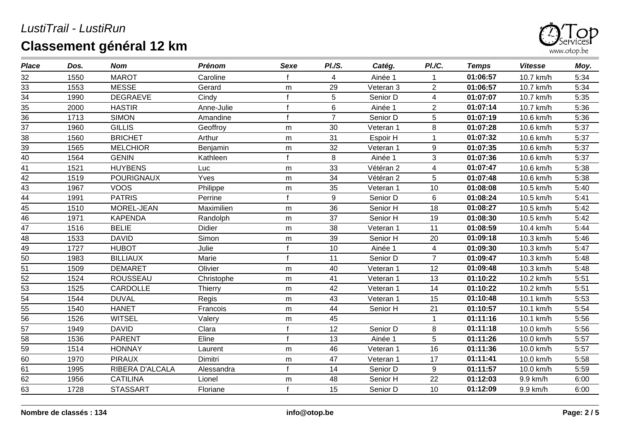

| <b>Place</b> | Dos. | <b>Nom</b>        | <b>Prénom</b> | <b>Sexe</b>  | <b>PI./S.</b>  | Catég.    | PI./C.                   | <b>Temps</b> | <b>Vitesse</b> | Moy. |
|--------------|------|-------------------|---------------|--------------|----------------|-----------|--------------------------|--------------|----------------|------|
| 32           | 1550 | <b>MAROT</b>      | Caroline      |              | 4              | Ainée 1   |                          | 01:06:57     | 10.7 km/h      | 5:34 |
| 33           | 1553 | <b>MESSE</b>      | Gerard        | m            | 29             | Veteran 3 | $\overline{2}$           | 01:06:57     | 10.7 km/h      | 5:34 |
| 34           | 1990 | <b>DEGRAEVE</b>   | Cindy         |              | 5              | Senior D  | 4                        | 01:07:07     | 10.7 km/h      | 5:35 |
| 35           | 2000 | <b>HASTIR</b>     | Anne-Julie    | $\mathbf{f}$ | 6              | Ainée 1   | $\overline{2}$           | 01:07:14     | 10.7 km/h      | 5:36 |
| 36           | 1713 | <b>SIMON</b>      | Amandine      |              | $\overline{7}$ | Senior D  | 5                        | 01:07:19     | 10.6 km/h      | 5:36 |
| 37           | 1960 | <b>GILLIS</b>     | Geoffroy      | m            | 30             | Veteran 1 | 8                        | 01:07:28     | 10.6 km/h      | 5:37 |
| 38           | 1560 | <b>BRICHET</b>    | Arthur        | m            | 31             | Espoir H  | 1                        | 01:07:32     | 10.6 km/h      | 5:37 |
| 39           | 1565 | <b>MELCHIOR</b>   | Benjamin      | m            | 32             | Veteran 1 | 9                        | 01:07:35     | 10.6 km/h      | 5:37 |
| 40           | 1564 | <b>GENIN</b>      | Kathleen      | $\mathbf f$  | 8              | Ainée 1   | 3                        | 01:07:36     | 10.6 km/h      | 5:37 |
| 41           | 1521 | <b>HUYBENS</b>    | Luc           | m            | 33             | Vétéran 2 | 4                        | 01:07:47     | 10.6 km/h      | 5:38 |
| 42           | 1519 | <b>POURIGNAUX</b> | Yves          | m            | 34             | Vétéran 2 | 5                        | 01:07:48     | 10.6 km/h      | 5:38 |
| 43           | 1967 | <b>VOOS</b>       | Philippe      | m            | 35             | Veteran 1 | 10                       | 01:08:08     | 10.5 km/h      | 5:40 |
| 44           | 1991 | <b>PATRIS</b>     | Perrine       |              | 9              | Senior D  | 6                        | 01:08:24     | 10.5 km/h      | 5:41 |
| 45           | 1510 | MOREL-JEAN        | Maximilien    | m            | 36             | Senior H  | 18                       | 01:08:27     | 10.5 km/h      | 5:42 |
| 46           | 1971 | <b>KAPENDA</b>    | Randolph      | m            | 37             | Senior H  | 19                       | 01:08:30     | 10.5 km/h      | 5:42 |
| 47           | 1516 | <b>BELIE</b>      | <b>Didier</b> | m            | 38             | Veteran 1 | 11                       | 01:08:59     | 10.4 km/h      | 5:44 |
| 48           | 1533 | <b>DAVID</b>      | Simon         | m            | 39             | Senior H  | 20                       | 01:09:18     | 10.3 km/h      | 5:46 |
| 49           | 1727 | <b>HUBOT</b>      | Julie         | $\mathbf f$  | 10             | Ainée 1   | $\overline{\mathcal{A}}$ | 01:09:30     | 10.3 km/h      | 5:47 |
| 50           | 1983 | <b>BILLIAUX</b>   | Marie         | $\mathbf{f}$ | 11             | Senior D  | $\overline{7}$           | 01:09:47     | 10.3 km/h      | 5:48 |
| 51           | 1509 | <b>DEMARET</b>    | Olivier       | m            | 40             | Veteran 1 | 12                       | 01:09:48     | 10.3 km/h      | 5:48 |
| 52           | 1524 | <b>ROUSSEAU</b>   | Christophe    | m            | 41             | Veteran 1 | 13                       | 01:10:22     | 10.2 km/h      | 5:51 |
| 53           | 1525 | <b>CARDOLLE</b>   | Thierry       | m            | 42             | Veteran 1 | 14                       | 01:10:22     | 10.2 km/h      | 5:51 |
| 54           | 1544 | <b>DUVAL</b>      | Regis         | m            | 43             | Veteran 1 | 15                       | 01:10:48     | 10.1 km/h      | 5:53 |
| 55           | 1540 | <b>HANET</b>      | Francois      | m            | 44             | Senior H  | 21                       | 01:10:57     | 10.1 km/h      | 5:54 |
| 56           | 1526 | <b>WITSEL</b>     | Valery        | m            | 45             |           | 1                        | 01:11:16     | 10.1 km/h      | 5:56 |
| 57           | 1949 | <b>DAVID</b>      | Clara         | $\mathbf{f}$ | 12             | Senior D  | 8                        | 01:11:18     | 10.0 km/h      | 5:56 |
| 58           | 1536 | <b>PARENT</b>     | Eline         | $\mathbf{f}$ | 13             | Ainée 1   | 5                        | 01:11:26     | 10.0 km/h      | 5:57 |
| 59           | 1514 | <b>HONNAY</b>     | Laurent       | m            | 46             | Veteran 1 | 16                       | 01:11:36     | 10.0 km/h      | 5:57 |
| 60           | 1970 | <b>PIRAUX</b>     | Dimitri       | m            | 47             | Veteran 1 | 17                       | 01:11:41     | 10.0 km/h      | 5:58 |
| 61           | 1995 | RIBERA D'ALCALA   | Alessandra    | $\mathbf{f}$ | 14             | Senior D  | $\boldsymbol{9}$         | 01:11:57     | 10.0 km/h      | 5:59 |
| 62           | 1956 | <b>CATILINA</b>   | Lionel        | m            | 48             | Senior H  | 22                       | 01:12:03     | 9.9 km/h       | 6:00 |
| 63           | 1728 | <b>STASSART</b>   | Floriane      | $\mathsf{f}$ | 15             | Senior D  | 10                       | 01:12:09     | 9.9 km/h       | 6:00 |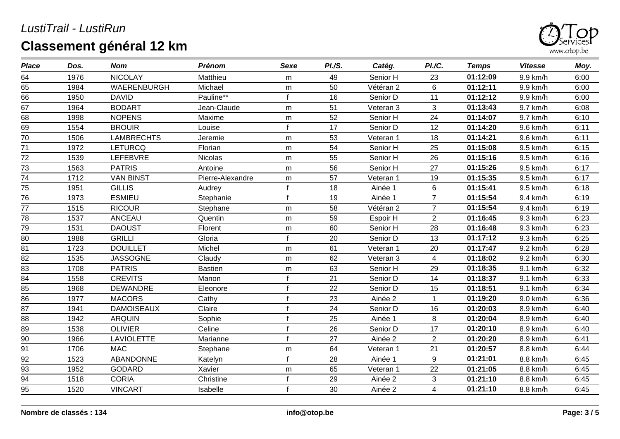

| <b>Place</b>    | Dos. | <b>Nom</b>        | <b>Prénom</b>    | Sexe        | PI.S. | Catég.    | PI.C.          | <b>Temps</b> | <b>Vitesse</b> | Moy. |
|-----------------|------|-------------------|------------------|-------------|-------|-----------|----------------|--------------|----------------|------|
| 64              | 1976 | <b>NICOLAY</b>    | Matthieu         | m           | 49    | Senior H  | 23             | 01:12:09     | 9.9 km/h       | 6:00 |
| 65              | 1984 | WAERENBURGH       | Michael          | m           | 50    | Vétéran 2 | $\,6\,$        | 01:12:11     | 9.9 km/h       | 6:00 |
| 66              | 1950 | <b>DAVID</b>      | Pauline**        |             | 16    | Senior D  | 11             | 01:12:12     | 9.9 km/h       | 6:00 |
| 67              | 1964 | <b>BODART</b>     | Jean-Claude      | m           | 51    | Veteran 3 | 3              | 01:13:43     | 9.7 km/h       | 6:08 |
| 68              | 1998 | <b>NOPENS</b>     | Maxime           | m           | 52    | Senior H  | 24             | 01:14:07     | 9.7 km/h       | 6:10 |
| 69              | 1554 | <b>BROUIR</b>     | Louise           |             | 17    | Senior D  | 12             | 01:14:20     | 9.6 km/h       | 6:11 |
| 70              | 1506 | <b>LAMBRECHTS</b> | Jeremie          | m           | 53    | Veteran 1 | 18             | 01:14:21     | 9.6 km/h       | 6:11 |
| 71              | 1972 | <b>LETURCQ</b>    | Florian          | m           | 54    | Senior H  | 25             | 01:15:08     | 9.5 km/h       | 6:15 |
| 72              | 1539 | LEFEBVRE          | Nicolas          | m           | 55    | Senior H  | 26             | 01:15:16     | 9.5 km/h       | 6:16 |
| 73              | 1563 | <b>PATRIS</b>     | Antoine          | m           | 56    | Senior H  | 27             | 01:15:26     | 9.5 km/h       | 6:17 |
| 74              | 1712 | <b>VAN BINST</b>  | Pierre-Alexandre | ${\sf m}$   | 57    | Veteran 1 | 19             | 01:15:35     | 9.5 km/h       | 6:17 |
| 75              | 1951 | <b>GILLIS</b>     | Audrey           | $\mathbf f$ | 18    | Ainée 1   | 6              | 01:15:41     | 9.5 km/h       | 6:18 |
| 76              | 1973 | <b>ESMIEU</b>     | Stephanie        |             | 19    | Ainée 1   | $\overline{7}$ | 01:15:54     | 9.4 km/h       | 6:19 |
| 77              | 1515 | <b>RICOUR</b>     | Stephane         | m           | 58    | Vétéran 2 | $\overline{7}$ | 01:15:54     | 9.4 km/h       | 6:19 |
| 78              | 1537 | <b>ANCEAU</b>     | Quentin          | m           | 59    | Espoir H  | 2              | 01:16:45     | 9.3 km/h       | 6:23 |
| 79              | 1531 | <b>DAOUST</b>     | Florent          | m           | 60    | Senior H  | 28             | 01:16:48     | 9.3 km/h       | 6:23 |
| 80              | 1988 | <b>GRILLI</b>     | Gloria           |             | 20    | Senior D  | 13             | 01:17:12     | 9.3 km/h       | 6:25 |
| $\overline{81}$ | 1723 | <b>DOUILLET</b>   | Michel           | ${\sf m}$   | 61    | Veteran 1 | 20             | 01:17:47     | 9.2 km/h       | 6:28 |
| 82              | 1535 | <b>JASSOGNE</b>   | Claudy           | m           | 62    | Veteran 3 | 4              | 01:18:02     | 9.2 km/h       | 6:30 |
| 83              | 1708 | <b>PATRIS</b>     | <b>Bastien</b>   | m           | 63    | Senior H  | 29             | 01:18:35     | 9.1 km/h       | 6:32 |
| 84              | 1558 | <b>CREVITS</b>    | Manon            |             | 21    | Senior D  | 14             | 01:18:37     | 9.1 km/h       | 6:33 |
| 85              | 1968 | <b>DEWANDRE</b>   | Eleonore         |             | 22    | Senior D  | 15             | 01:18:51     | 9.1 km/h       | 6:34 |
| 86              | 1977 | <b>MACORS</b>     | Cathy            |             | 23    | Ainée 2   |                | 01:19:20     | 9.0 km/h       | 6:36 |
| 87              | 1941 | <b>DAMOISEAUX</b> | Claire           |             | 24    | Senior D  | 16             | 01:20:03     | 8.9 km/h       | 6:40 |
| 88              | 1942 | <b>ARQUIN</b>     | Sophie           |             | 25    | Ainée 1   | $\bf 8$        | 01:20:04     | 8.9 km/h       | 6:40 |
| $\overline{89}$ | 1538 | <b>OLIVIER</b>    | Celine           |             | 26    | Senior D  | 17             | 01:20:10     | 8.9 km/h       | 6:40 |
| 90              | 1966 | <b>LAVIOLETTE</b> | Marianne         |             | 27    | Ainée 2   | 2              | 01:20:20     | 8.9 km/h       | 6:41 |
| 91              | 1706 | <b>MAC</b>        | Stephane         | m           | 64    | Veteran 1 | 21             | 01:20:57     | 8.8 km/h       | 6:44 |
| 92              | 1523 | ABANDONNE         | Katelyn          |             | 28    | Ainée 1   | $9\,$          | 01:21:01     | 8.8 km/h       | 6:45 |
| $\overline{93}$ | 1952 | <b>GODARD</b>     | Xavier           | m           | 65    | Veteran 1 | 22             | 01:21:05     | 8.8 km/h       | 6:45 |
| 94              | 1518 | <b>CORIA</b>      | Christine        |             | 29    | Ainée 2   | 3              | 01:21:10     | 8.8 km/h       | 6:45 |
| 95              | 1520 | <b>VINCART</b>    | Isabelle         |             | 30    | Ainée 2   | $\overline{4}$ | 01:21:10     | 8.8 km/h       | 6:45 |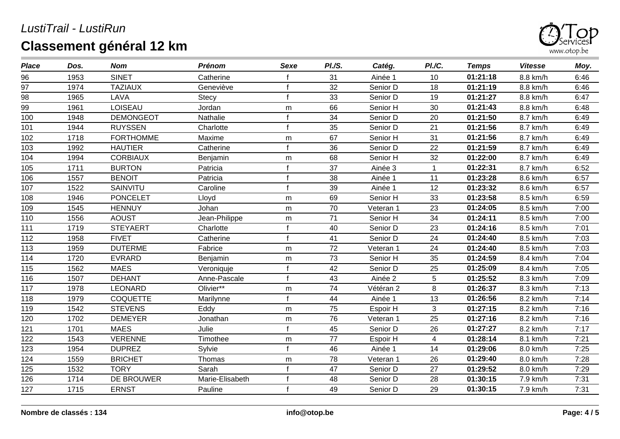

| <b>Place</b> | Dos. | <b>Nom</b>       | <b>Prénom</b>   | <b>Sexe</b>  | PI.S. | Catég.    | PI./C.       | <b>Temps</b> | <b>Vitesse</b> | Moy. |
|--------------|------|------------------|-----------------|--------------|-------|-----------|--------------|--------------|----------------|------|
| 96           | 1953 | <b>SINET</b>     | Catherine       |              | 31    | Ainée 1   | 10           | 01:21:18     | 8.8 km/h       | 6:46 |
| 97           | 1974 | <b>TAZIAUX</b>   | Geneviève       | $\mathbf f$  | 32    | Senior D  | 18           | 01:21:19     | 8.8 km/h       | 6:46 |
| 98           | 1965 | LAVA             | Stecy           |              | 33    | Senior D  | 19           | 01:21:27     | 8.8 km/h       | 6:47 |
| 99           | 1961 | LOISEAU          | Jordan          | m            | 66    | Senior H  | 30           | 01:21:43     | 8.8 km/h       | 6:48 |
| 100          | 1948 | <b>DEMONGEOT</b> | Nathalie        |              | 34    | Senior D  | 20           | 01:21:50     | 8.7 km/h       | 6:49 |
| 101          | 1944 | <b>RUYSSEN</b>   | Charlotte       | $\mathbf f$  | 35    | Senior D  | 21           | 01:21:56     | 8.7 km/h       | 6:49 |
| 102          | 1718 | <b>FORTHOMME</b> | Maxime          | m            | 67    | Senior H  | 31           | 01:21:56     | 8.7 km/h       | 6:49 |
| 103          | 1992 | <b>HAUTIER</b>   | Catherine       | $\mathbf{f}$ | 36    | Senior D  | 22           | 01:21:59     | 8.7 km/h       | 6:49 |
| 104          | 1994 | <b>CORBIAUX</b>  | Benjamin        | m            | 68    | Senior H  | 32           | 01:22:00     | 8.7 km/h       | 6:49 |
| 105          | 1711 | <b>BURTON</b>    | Patricia        | $\mathbf f$  | 37    | Ainée 3   | $\mathbf{1}$ | 01:22:31     | 8.7 km/h       | 6:52 |
| 106          | 1557 | <b>BENOIT</b>    | Patricia        |              | 38    | Ainée 1   | 11           | 01:23:28     | 8.6 km/h       | 6:57 |
| 107          | 1522 | SAINVITU         | Caroline        | $\mathbf f$  | 39    | Ainée 1   | 12           | 01:23:32     | 8.6 km/h       | 6:57 |
| 108          | 1946 | <b>PONCELET</b>  | Lloyd           | m            | 69    | Senior H  | 33           | 01:23:58     | 8.5 km/h       | 6:59 |
| 109          | 1545 | <b>HENNUY</b>    | Johan           | m            | 70    | Veteran 1 | 23           | 01:24:05     | 8.5 km/h       | 7:00 |
| 110          | 1556 | <b>AOUST</b>     | Jean-Philippe   | m            | 71    | Senior H  | 34           | 01:24:11     | 8.5 km/h       | 7:00 |
| 111          | 1719 | <b>STEYAERT</b>  | Charlotte       | $\mathbf f$  | 40    | Senior D  | 23           | 01:24:16     | 8.5 km/h       | 7:01 |
| 112          | 1958 | <b>FIVET</b>     | Catherine       |              | 41    | Senior D  | 24           | 01:24:40     | 8.5 km/h       | 7:03 |
| 113          | 1959 | <b>DUTERME</b>   | Fabrice         | m            | 72    | Veteran 1 | 24           | 01:24:40     | 8.5 km/h       | 7:03 |
| 114          | 1720 | <b>EVRARD</b>    | Benjamin        | m            | 73    | Senior H  | 35           | 01:24:59     | 8.4 km/h       | 7:04 |
| 115          | 1562 | <b>MAES</b>      | Veroniquje      | $\mathbf f$  | 42    | Senior D  | 25           | 01:25:09     | 8.4 km/h       | 7:05 |
| 116          | 1507 | <b>DEHANT</b>    | Anne-Pascale    |              | 43    | Ainée 2   | 5            | 01:25:52     | 8.3 km/h       | 7:09 |
| 117          | 1978 | <b>LEONARD</b>   | Olivier**       | m            | 74    | Vétéran 2 | 8            | 01:26:37     | 8.3 km/h       | 7:13 |
| 118          | 1979 | <b>COQUETTE</b>  | Marilynne       |              | 44    | Ainée 1   | 13           | 01:26:56     | 8.2 km/h       | 7:14 |
| 119          | 1542 | <b>STEVENS</b>   | Eddy            | m            | 75    | Espoir H  | 3            | 01:27:15     | 8.2 km/h       | 7:16 |
| 120          | 1702 | <b>DEMEYER</b>   | Jonathan        | m            | 76    | Veteran 1 | 25           | 01:27:16     | 8.2 km/h       | 7:16 |
| 121          | 1701 | <b>MAES</b>      | Julie           | $\mathbf f$  | 45    | Senior D  | 26           | 01:27:27     | 8.2 km/h       | 7:17 |
| 122          | 1543 | <b>VERENNE</b>   | Timothee        | m            | 77    | Espoir H  | 4            | 01:28:14     | 8.1 km/h       | 7:21 |
| 123          | 1954 | <b>DUPREZ</b>    | Sylvie          | $\epsilon$   | 46    | Ainée 1   | 14           | 01:29:06     | 8.0 km/h       | 7:25 |
| 124          | 1559 | <b>BRICHET</b>   | Thomas          | m            | 78    | Veteran 1 | 26           | 01:29:40     | 8.0 km/h       | 7:28 |
| 125          | 1532 | <b>TORY</b>      | Sarah           |              | 47    | Senior D  | 27           | 01:29:52     | 8.0 km/h       | 7:29 |
| 126          | 1714 | DE BROUWER       | Marie-Elisabeth |              | 48    | Senior D  | 28           | 01:30:15     | 7.9 km/h       | 7:31 |
| 127          | 1715 | <b>ERNST</b>     | Pauline         |              | 49    | Senior D  | 29           | 01:30:15     | 7.9 km/h       | 7:31 |